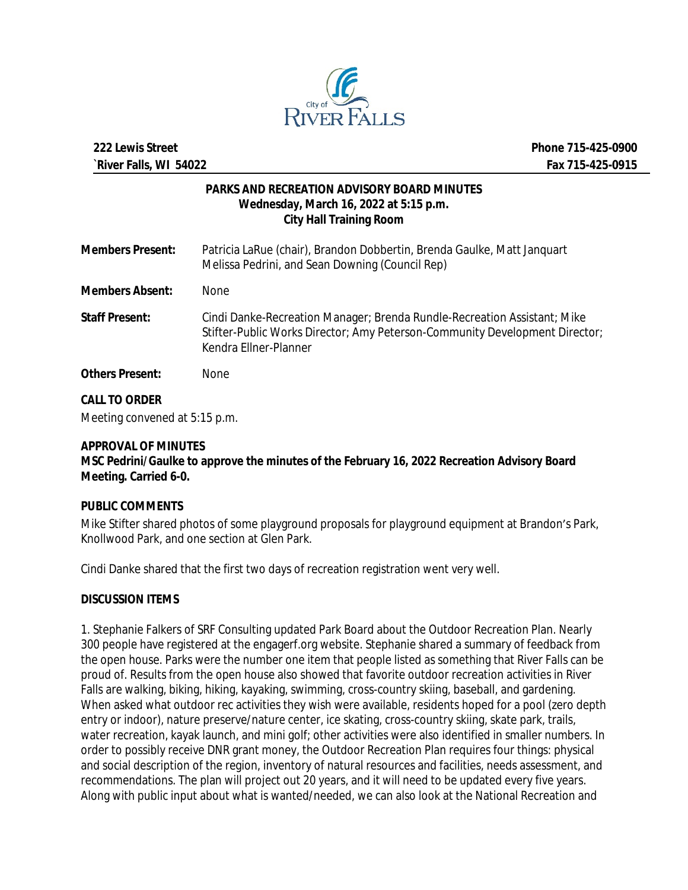

#### **PARKS AND RECREATION ADVISORY BOARD MINUTES Wednesday, March 16, 2022 at 5:15 p.m. City Hall Training Room**

| <b>Members Present:</b> | Patricia LaRue (chair), Brandon Dobbertin, Brenda Gaulke, Matt Janguart<br>Melissa Pedrini, and Sean Downing (Council Rep)                                                       |
|-------------------------|----------------------------------------------------------------------------------------------------------------------------------------------------------------------------------|
| <b>Members Absent:</b>  | <b>None</b>                                                                                                                                                                      |
| <b>Staff Present:</b>   | Cindi Danke-Recreation Manager; Brenda Rundle-Recreation Assistant; Mike<br>Stifter-Public Works Director; Amy Peterson-Community Development Director;<br>Kendra Ellner-Planner |
| <b>Others Present:</b>  | None.                                                                                                                                                                            |

## **CALL TO ORDER**

Meeting convened at 5:15 p.m.

#### **APPROVAL OF MINUTES**

**MSC Pedrini/Gaulke to approve the minutes of the February 16, 2022 Recreation Advisory Board Meeting. Carried 6-0.**

## **PUBLIC COMMENTS**

Mike Stifter shared photos of some playground proposals for playground equipment at Brandon's Park, Knollwood Park, and one section at Glen Park.

Cindi Danke shared that the first two days of recreation registration went very well.

## **DISCUSSION ITEMS**

1. Stephanie Falkers of SRF Consulting updated Park Board about the Outdoor Recreation Plan. Nearly 300 people have registered at the engagerf.org website. Stephanie shared a summary of feedback from the open house. Parks were the number one item that people listed as something that River Falls can be proud of. Results from the open house also showed that favorite outdoor recreation activities in River Falls are walking, biking, hiking, kayaking, swimming, cross-country skiing, baseball, and gardening. When asked what outdoor rec activities they wish were available, residents hoped for a pool (zero depth entry or indoor), nature preserve/nature center, ice skating, cross-country skiing, skate park, trails, water recreation, kayak launch, and mini golf; other activities were also identified in smaller numbers. In order to possibly receive DNR grant money, the Outdoor Recreation Plan requires four things: physical and social description of the region, inventory of natural resources and facilities, needs assessment, and recommendations. The plan will project out 20 years, and it will need to be updated every five years. Along with public input about what is wanted/needed, we can also look at the National Recreation and